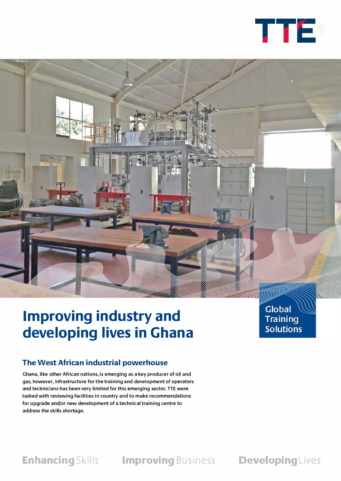



# **Improving industry and developing lives in Ghana**

## **The West African industrial powerhouse**

**Ghana, like other African nations, is emerging as a key producer of oil and gas, however, infrastructure for the training and development of operators and technicians has been very limited for this emerging sector. TTE were tasked with reviewing facilities in country and to make recommendations for upgrade and/or new development of a technical training centre to address the skills shortage.** 

**Global Training Solutions** 

**Enhancing** Skills **Improving** Business **Developing** Lives